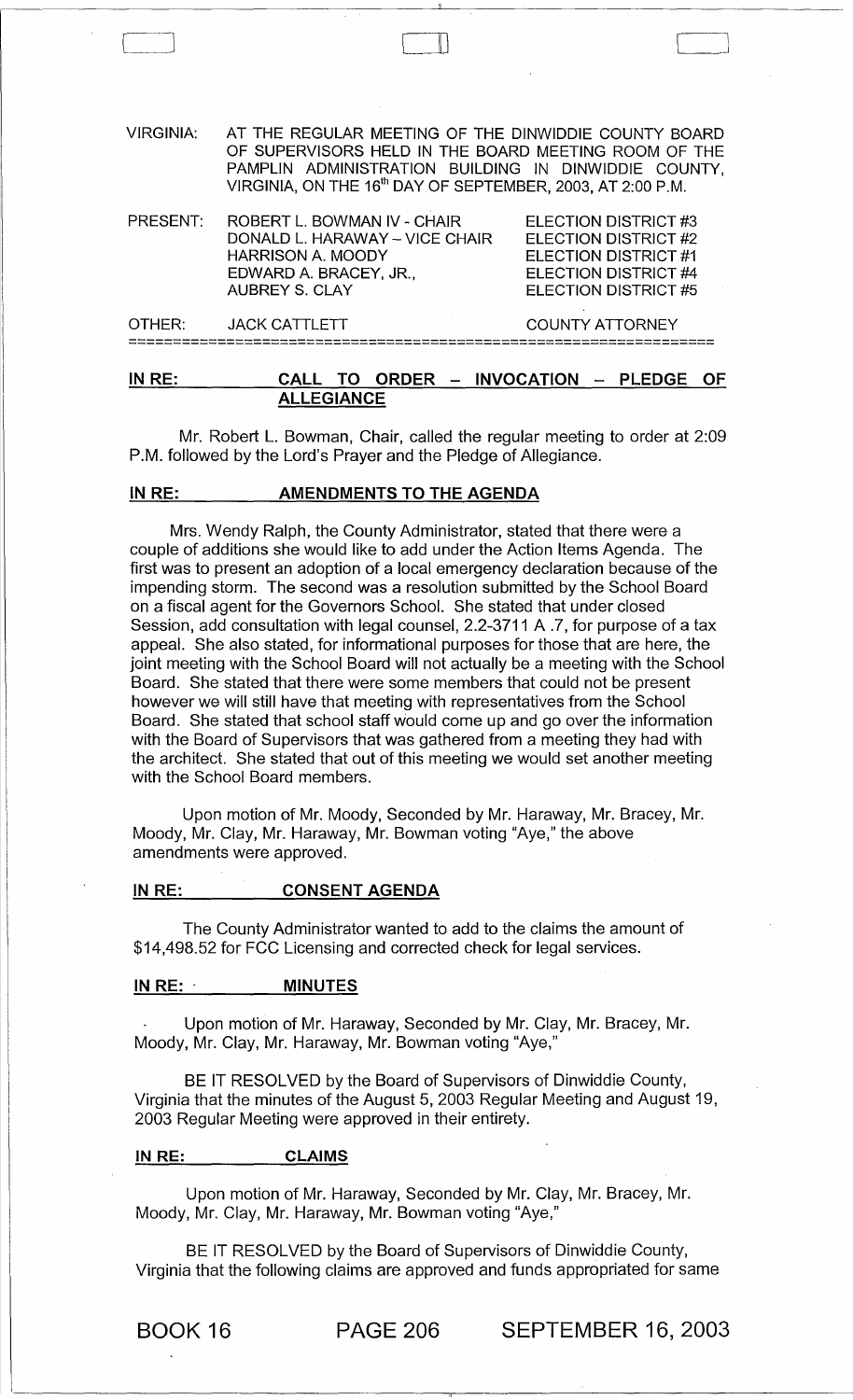| IN RE:           | CALL:<br><b>ALLEGIANCE</b>                                                                                                                                                                                                                     | TO ORDER - INVOCATION - PLEDGE<br>OF.                                                                                |
|------------------|------------------------------------------------------------------------------------------------------------------------------------------------------------------------------------------------------------------------------------------------|----------------------------------------------------------------------------------------------------------------------|
| OTHER:           | <b>JACK CATTLETT</b>                                                                                                                                                                                                                           | <b>COUNTY ATTORNEY</b>                                                                                               |
| PRESENT:         | ROBERT L. BOWMAN IV - CHAIR<br>DONALD L. HARAWAY - VICE CHAIR<br><b>HARRISON A. MOODY</b><br>EDWARD A. BRACEY, JR.,<br><b>AUBREY S. CLAY</b>                                                                                                   | ELECTION DISTRICT #3<br>ELECTION DISTRICT #2<br>ELECTION DISTRICT #1<br>ELECTION DISTRICT #4<br>ELECTION DISTRICT #5 |
| <b>VIRGINIA:</b> | AT THE REGULAR MEETING OF THE DINWIDDIE COUNTY BOARD<br>OF SUPERVISORS HELD IN THE BOARD MEETING ROOM OF THE<br>PAMPLIN ADMINISTRATION BUILDING IN DINWIDDIE COUNTY,<br>VIRGINIA, ON THE 16 <sup>th</sup> DAY OF SEPTEMBER, 2003, AT 2:00 P.M. |                                                                                                                      |
|                  |                                                                                                                                                                                                                                                |                                                                                                                      |

 $\Box$ 

Mr. Robert L. Bowman, Chair, called the regular meeting to order at 2:09 P.M. followed by the Lord's Prayer and the Pledge of Allegiance.

## IN RE: AMENDMENTS TO THE AGENDA

Mrs. Wendy Ralph, the County Administrator, stated that there were a couple of additions she would like to add under the Action Items Agenda. The first was to present an adoption of a local emergency declaration because of the impending storm. The second was a resolution submitted by the School Board on a fiscal agent for the Governors School. She stated that under closed Session, add consultation with legal counsel, 2.2-3711 A .7, for purpose of a tax appeal. She also stated, for informational purposes for those that are here, the joint meeting with the School Board will not actually be a meeting with the School Board. She stated that there were some members that could not be present however we will still have that meeting with representatives from the School Board. She stated that school staff would come up and go over the information with the Board of Supervisors that was gathered from a meeting they had with the architect. She stated that out of this meeting we would set another meeting with the School Board members.

Upon motion of Mr. Moody, Seconded by Mr. Haraway, Mr. Bracey, Mr. Moody, Mr. Clay, Mr. Haraway, Mr. Bowman voting "Aye," the above amendments were approved.

#### IN RE: CONSENT AGENDA

The County Administrator wanted to add to the claims the amount of \$14,498.52 for FCC Licensing and corrected check for legal services.

#### IN RE: \_\_\_\_\_\_\_\_\_\_\_ MINUTES

Upon motion of Mr. Haraway, Seconded by Mr. Clay, Mr. Bracey, Mr. Moody, Mr. Clay, Mr. Haraway, Mr. Bowman voting "Aye,"

BE IT RESOLVED by the Board of Supervisors of Dinwiddie County, Virginia that the minutes of the August 5, 2003 Regular Meeting and August 19, 2003 Regular Meeting were approved in their entirety.

#### IN RE: CLAIMS

Upon motion of Mr. Haraway, Seconded by Mr. Clay, Mr. Bracey, Mr. Moody, Mr. Clay, Mr. Haraway, Mr. Bowman voting "Aye,"

BE IT RESOLVED by the Board of Supervisors of Dinwiddie County, Virginia that the following claims are approved and funds appropriated for same

BOOK 16 PAGE 206 SEPTEMBER 16, 2003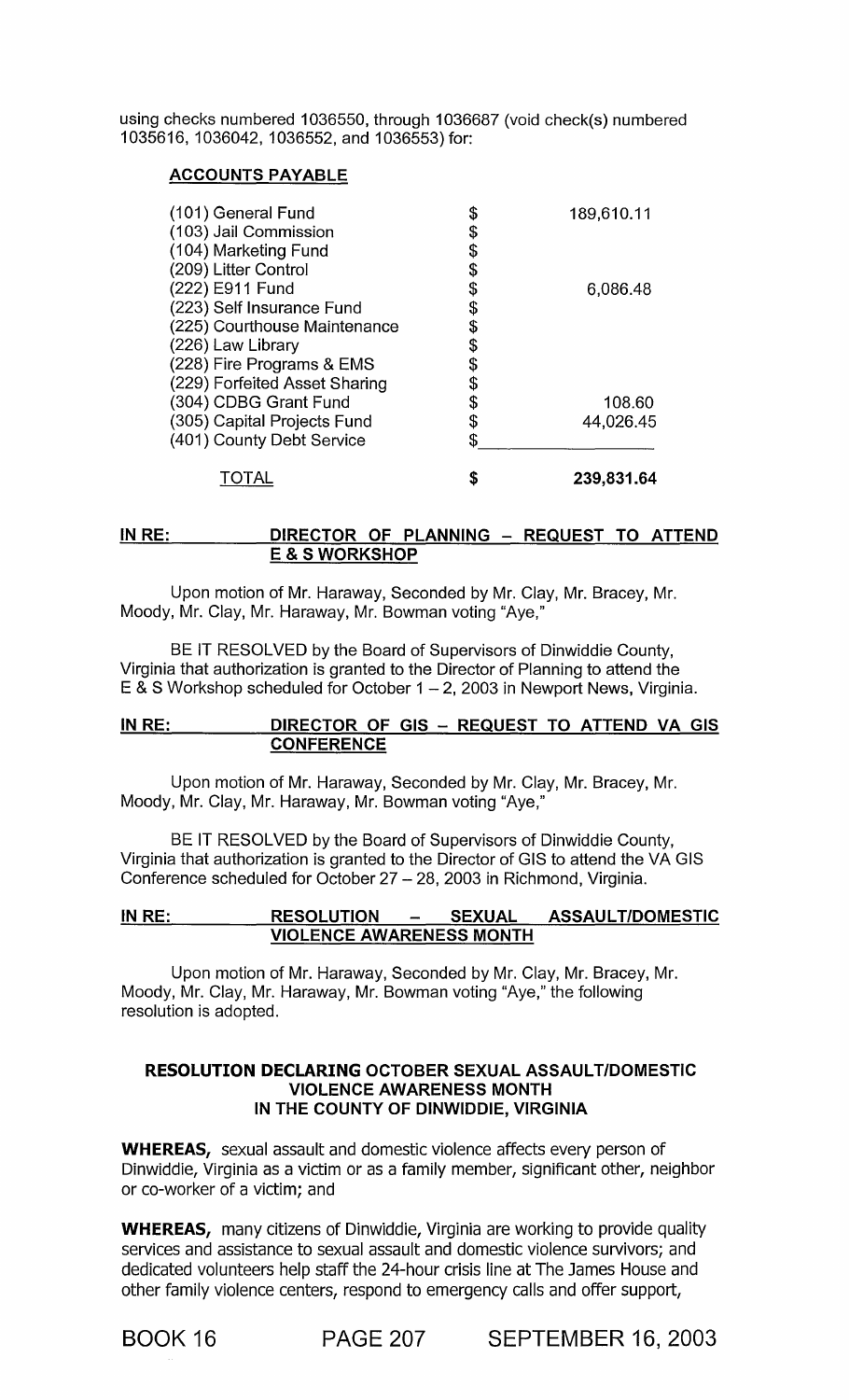using checks numbered 1036550, through 1036687 (void check(s) numbered 1035616, 1036042, 1036552, and 1036553) for:

# ACCOUNTS PAYABLE

| (101) General Fund<br>(103) Jail Commission | \$<br>\$ | 189,610.11 |
|---------------------------------------------|----------|------------|
| (104) Marketing Fund                        | \$       |            |
| (209) Litter Control                        | \$       |            |
| (222) E911 Fund                             |          | 6,086.48   |
| (223) Self Insurance Fund                   | Ş        |            |
| (225) Courthouse Maintenance                |          |            |
| (226) Law Library                           | \$       |            |
| (228) Fire Programs & EMS                   |          |            |
| (229) Forfeited Asset Sharing               | S        |            |
| (304) CDBG Grant Fund                       | \$       | 108.60     |
| (305) Capital Projects Fund                 | \$       | 44,026.45  |
| (401) County Debt Service                   | \$       |            |
| TOTAL                                       | \$       | 239,831.64 |

#### IN RE: DIRECTOR OF PLANNING - REQUEST TO ATTEND E & S WORKSHOP

Upon motion of Mr. Haraway, Seconded by Mr. Clay, Mr. Bracey, Mr. Moody, Mr. Clay, Mr. Haraway, Mr. Bowman voting "Aye,"

BE IT RESOLVED by the Board of Supervisors of Dinwiddie County, Virginia that authorization is granted to the Director of Planning to attend the  $E$  & S Workshop scheduled for October 1 - 2, 2003 in Newport News, Virginia.

## IN RE: DIRECTOR OF GIS - REQUEST TO ATTEND VA GIS **CONFERENCE**

Upon motion of Mr. Haraway, Seconded by Mr. Clay, Mr. Bracey, Mr. Moody, Mr. Clay, Mr. Haraway, Mr. Bowman voting "Aye,"

BE IT RESOLVED by the Board of Supervisors of Dinwiddie County, Virginia that authorization is granted to the Director of GIS to attend the VA GIS Conference scheduled for October 27 - 28, 2003 in Richmond, Virginia.

# IN RE: RESOLUTION - SEXUAL ASSAULT/DOMESTIC VIOLENCE AWARENESS MONTH

Upon motion of Mr. Haraway, Seconded by Mr. Clay, Mr. Bracey, Mr. Moody, Mr. Clay, Mr. Haraway, Mr. Bowman voting "Aye," the following resolution is adopted.

## RESOLUTION DECLARING OCTOBER SEXUAL ASSAULT/DOMESTIC VIOLENCE AWARENESS MONTH IN THE COUNTY OF DINWIDDIE, VIRGINIA

WHEREAS, sexual assault and domestic violence affects every person of Dinwiddie, Virginia as a victim or as a family member, significant other, neighbor or co-worker of a victim; and

WHEREAS, many citizens of Dinwiddie, Virginia are working to provide quality services and assistance to sexual assault and domestic violence survivors; and dedicated volunteers help staff the 24-hour crisis line at The James House and other family violence centers, respond to emergency calls and offer support,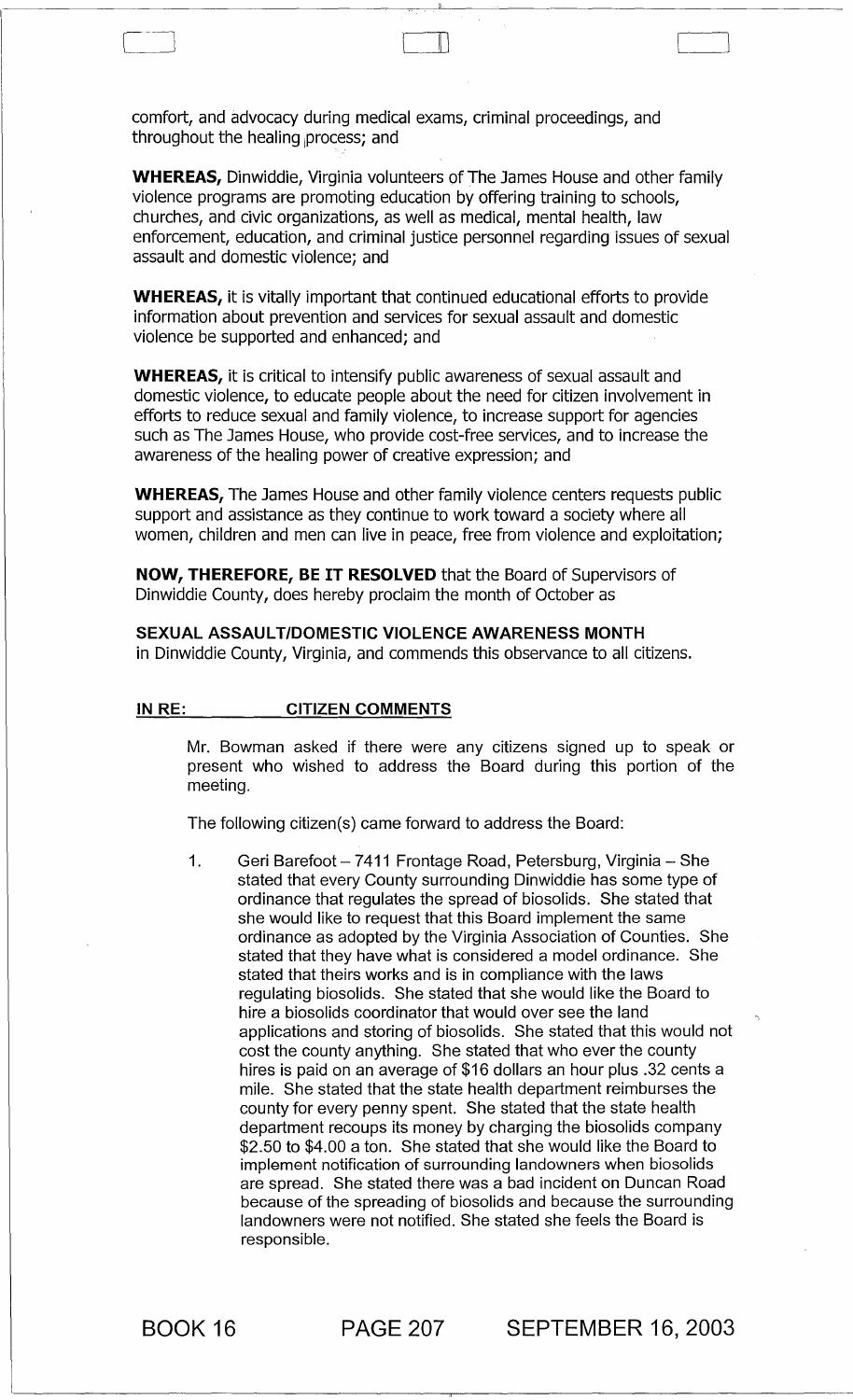comfort, and advocacy during medical exams, criminal proceedings, and throughout the healing process; and

WHEREAS, Dinwiddie, Virginia volunteers of The James House and other family violence programs are promoting education by offering training to schools, churches, and civic organizations, as well as medical, mental health, law enforcement, education, and criminal justice personnel regarding issues of sexual assault and domestic violence; and

 $\mathbb L$ 

WHEREAS, it is vitally important that continued educational efforts to provide information about prevention and services for sexual assault and domestic violence be supported and enhanced; and

WHEREAS, it is critical to intensify public awareness of sexual assault and domestic violence, to educate people about the need for citizen involvement in efforts to reduce sexual and family violence, to increase support for agencies such as The James House, who provide cost-free services, and to increase the awareness of the healing power of creative expression; and

WHEREAS, The James House and other family violence centers requests public support and assistance as they continue to work toward a society where all women, children and men can live in peace, free from violence and exploitation;

NOW, THEREFORE, BE IT RESOLVED that the Board of Supervisors of Dinwiddie County, does hereby proclaim the month of October as

SEXUAL ASSAULT/DOMESTIC VIOLENCE AWARENESS MONTH in Dinwiddie County, Virginia, and commends this observance to all citizens.

#### IN RE: CITIZEN COMMENTS

Mr. Bowman asked if there were any citizens signed up to speak or present who wished to address the Board during this portion of the meeting.

The following citizen(s) came forward to address the Board:

1. Geri Barefoot - 7411 Frontage Road, Petersburg, Virginia - She stated that every County surrounding Dinwiddie has some type of ordinance that regulates the spread of biosolids. She stated that she would like to request that this Board implement the same ordinance as adopted by the Virginia Association of Counties. She stated that they have what is considered a model ordinance. She stated that theirs works and is in compliance with the laws regulating biosolids. She stated that she would like the Board to hire a biosolids coordinator that would over see the land applications and storing of biosolids. She stated that this would not cost the county anything. She stated that who ever the county hires is paid on an average of \$16 dollars an hour plus .32 cents a mile. She stated that the state health department reimburses the county for every penny spent. She stated that the state health department recoups its money by charging the biosolids company \$2.50 to \$4.00 a ton. She stated that she would like the Board to implement notification of surrounding landowners when biosolids are spread. She stated there was a bad incident on Duncan Road because of the spreading of biosolids and because the surrounding landowners were not notified. She stated she feels the Board is responsible.

BOOK 16 PAGE 207 SEPTEMBER 16, 2003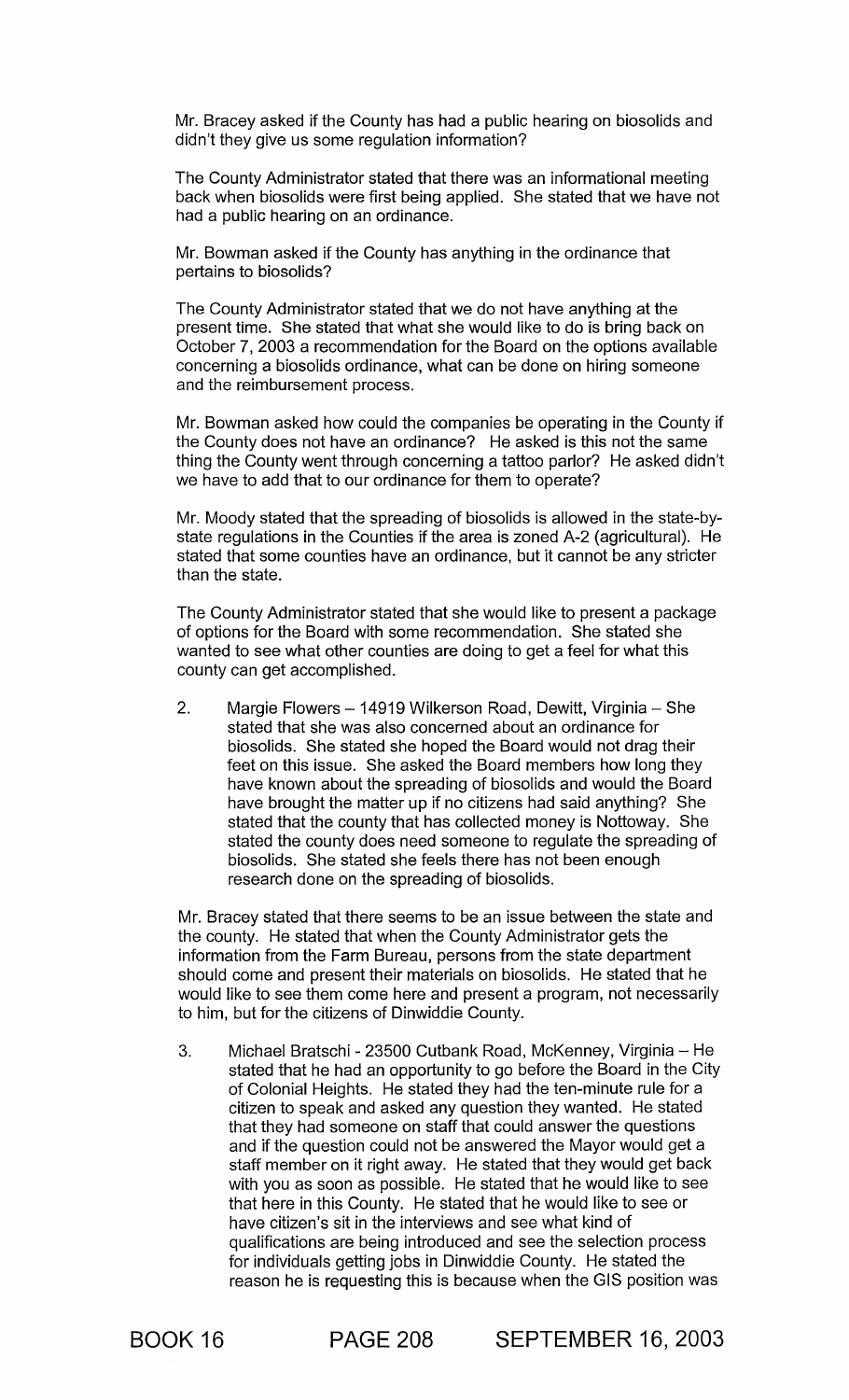Mr. Bracey asked if the County has had a public hearing on biosolids and didn't they give us some regulation information?

The County Administrator stated that there was an informational meeting back when biosolids were first being applied. She stated that we have not had a public hearing on an ordinance.

Mr. Bowman asked if the County has anything in the ordinance that pertains to biosolids?

The County Administrator stated that we do not have anything at the present time. She stated that what she would like to do is bring back on October 7, 2003 a recommendation for the Board on the options available concerning a biosolids ordinance, what can be done on hiring someone and the reimbursement process.

Mr. Bowman asked how could the companies be operating in the County if the County does not have an ordinance? He asked is this not the same thing the County went through concerning a tattoo parlor? He asked didn't we have to add that to our ordinance for them to operate?

Mr. Moody stated that the spreading of biosolids is allowed in the state-bystate regulations in the Counties if the area is zoned A-2 (agricultural). He stated that some counties have an ordinance, but it cannot be any stricter than the state.

The County Administrator stated that she would like to present a package of options for the Board with some recommendation. She stated she wanted to see what other counties are doing to get a feel for what this county can get accomplished.

2. Margie Flowers - 14919 Wilkerson Road, Dewitt, Virginia - She stated that she was also concerned about an ordinance for biosolids. She stated she hoped the Board would not drag their feet on this issue. She asked the Board members how long they have known about the spreading of biosolids and would the Board have brought the matter up if no citizens had said anything? She stated that the county that has collected money is Nottoway. She stated the county does need someone to regulate the spreading of biosolids. She stated she feels there has not been enough research done on the spreading of biosolids.

Mr. Bracey stated that there seems to be an issue between the state and the county. He stated that when the County Administrator gets the information from the Farm Bureau, persons from the state department should come and present their materials on biosolids. He stated that he would like to see them come here and present a program, not necessarily to him, but for the citizens of Dinwiddie County.

3. Michael Bratschi - 23500 Cutbank Road, McKenney, Virginia - He stated that he had an opportunity to go before the Board in the City of Colonial Heights. He stated they had the ten-minute rule for a citizen to speak and asked any question they wanted. He stated that they had someone on staff that could answer the questions and if the question could not be answered the Mayor would get a staff member on it right away. He stated that they would get back with you as soon as possible. He stated that he would like to see that here in this County. He stated that he would like to see or have citizen's sit in the interviews and see what kind of qualifications are being introduced and see the selection process for individuals getting jobs in Dinwiddie County. He stated the reason he is requesting this is because when the GIS position was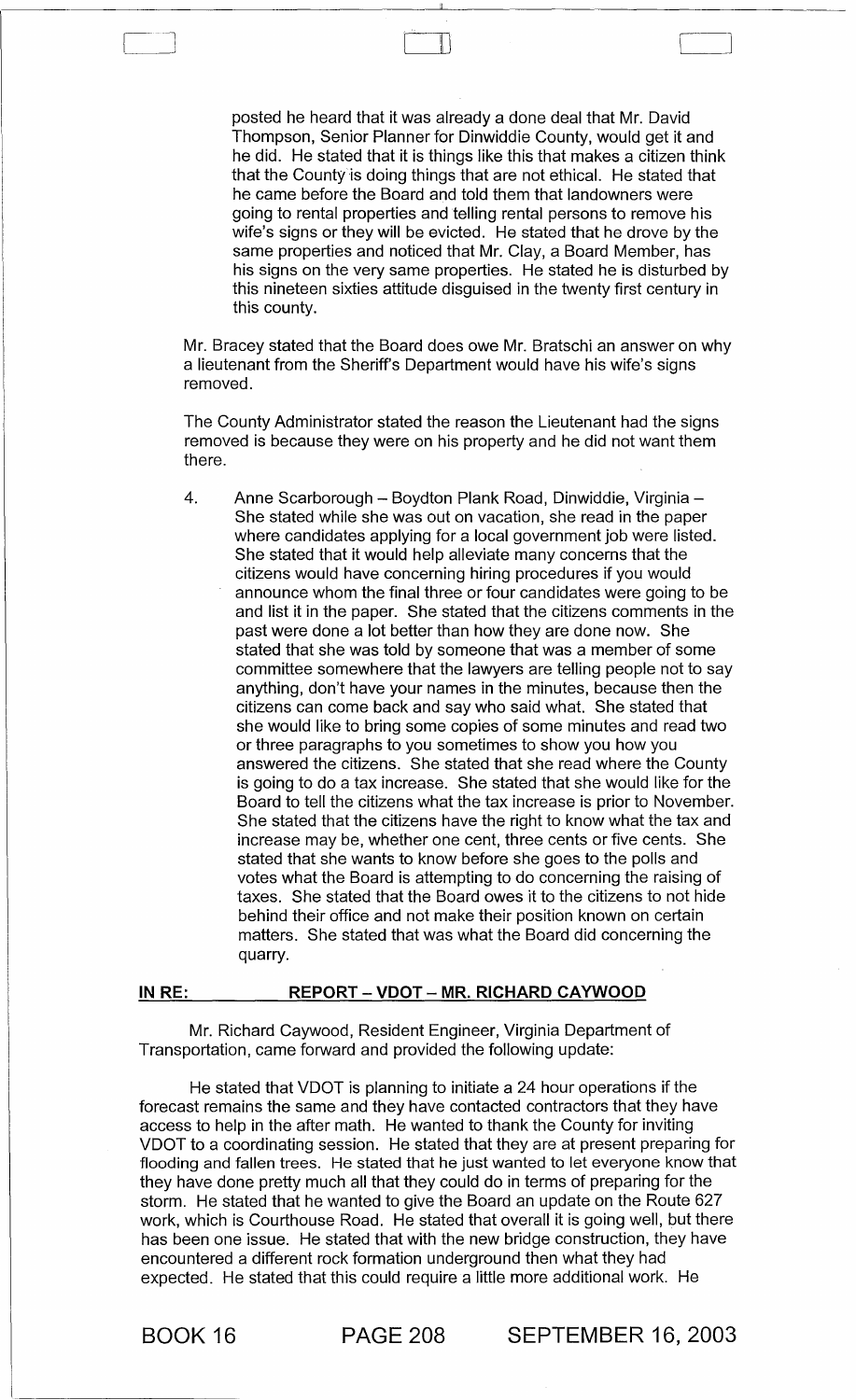posted he heard that it was already a done deal that Mr. David Thompson, Senior Planner for Dinwiddie County, would get it and he did. He stated that it is things like this that makes a citizen think that the County is doing things that are not ethical. He stated that he came before the Board and told them that landowners were going to rental properties and telling rental persons to remove his wife's signs or they will be evicted. He stated that he drove by the same properties and noticed that Mr. Clay, a Board Member, has his signs on the very same properties. He stated he is disturbed by this nineteen sixties attitude disguised in the twenty first century in this county.

,.] ill

Mr. Bracey stated that the Board does owe Mr. Bratschi an answer on why a lieutenant from the Sheriff's Department would have his wife's signs removed.

The County Administrator stated the reason the Lieutenant had the signs removed is because they were on his property and he did not want them there.

4. Anne Scarborough - Boydton Plank Road, Dinwiddie, Virginia -She stated while she was out on vacation, she read in the paper where candidates applying for a local government job were listed. She stated that it would help alleviate many concerns that the citizens would have concerning hiring procedures if you would announce whom the final three or four candidates were going to be and list it in the paper. She stated that the citizens comments in the past were done a lot better than how they are done now. She stated that she was told by someone that was a member of some committee somewhere that the lawyers are telling people not to say anything, don't have your names in the minutes, because then the citizens can come back and say who said what. She stated that she would like to bring some copies of some minutes and read two or three paragraphs to you sometimes to show you how you answered the citizens. She stated that she read where the County is going to do a tax increase. She stated that she would like for the Board to tell the citizens what the tax increase is prior to November. She stated that the citizens have the right to know what the tax and increase may be, whether one cent, three cents or five cents. She stated that she wants to know before she goes to the polls and votes what the Board is attempting to do concerning the raising of taxes. She stated that the Board owes it to the citizens to not hide behind their office and not make their position known on certain matters. She stated that was what the Board did concerning the quarry.

## IN RE: REPORT - VDOT - MR. RICHARD CAYWOOD

Mr. Richard Caywood, Resident Engineer, Virginia Department of Transportation, came forward and provided the following update:

He stated that VDOT is planning to initiate a 24 hour operations if the forecast remains the same and they have contacted contractors that they have access to help in the after math. He wanted to thank the County for inviting VDOT to a coordinating session. He stated that they are at present preparing for flooding and fallen trees. He stated that he just wanted to let everyone know that they have done pretty much all that they could do in terms of preparing for the storm. He stated that he wanted to give the Board an update on the Route 627 work, which is Courthouse Road. He stated that overall it is going well, but there has been one issue. He stated that with the new bridge construction, they have encountered a different rock formation underground then what they had expected. He stated that this could require a little more additional work. He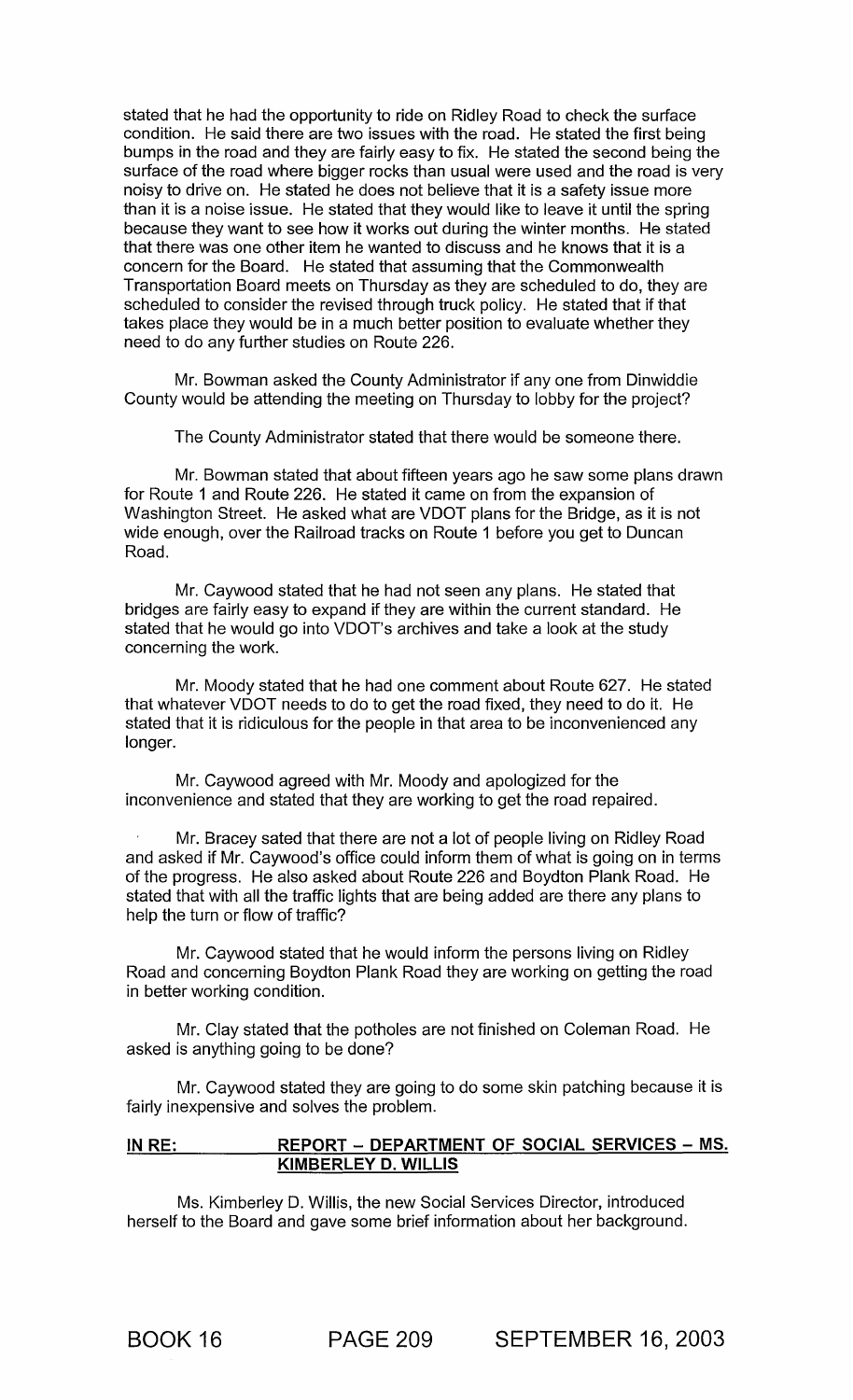stated that he had the opportunity to ride on Ridley Road to check the surface condition. He said there are two issues with the road. He stated the first being bumps in the road and they are fairly easy to fix. He stated the second being the surface of the road where bigger rocks than usual were used and the road is very noisy to drive on. He stated he does not believe that it is a safety issue more than it is a noise issue. He stated that they would like to leave it until the spring because they want to see how it works out during the winter months. He stated that there was one other item he wanted to discuss and he knows that it is a concern for the Board. He stated that assuming that the Commonwealth Transportation Board meets on Thursday as they are scheduled to do, they are scheduled to consider the revised through truck policy. He stated that if that takes place they would be in a much better position to evaluate whether they need to do any further studies on Route 226.

Mr. Bowman asked the County Administrator if anyone from Dinwiddie County would be attending the meeting on Thursday to lobby for the project?

The County Administrator stated that there would be someone there.

Mr. Bowman stated that about fifteen years ago he saw some plans drawn for Route 1 and Route 226. He stated it came on from the expansion of Washington Street. He asked what are VDOT plans for the Bridge, as it is not wide enough, over the Railroad tracks on Route 1 before you get to Duncan Road.

Mr. Caywood stated that he had not seen any plans. He stated that bridges are fairly easy to expand if they are within the current standard. He stated that he would go into VDOT's archives and take a look at the study concerning the work.

Mr. Moody stated that he had one comment about Route 627. He stated that whatever VDOT needs to do to get the road fixed, they need to do it. He stated that it is ridiculous for the people in that area to be inconvenienced any longer.

Mr. Caywood agreed with Mr. Moody and apologized for the inconvenience and stated that they are working to get the road repaired.

Mr. Bracey sated that there are not a lot of people living on Ridley Road and asked if Mr. Caywood's office could inform them of what is going on in terms of the progress. He also asked about Route 226 and Boydton Plank Road. He stated that with all the traffic lights that are being added are there any plans to help the turn or flow of traffic?

Mr. Caywood stated that he would inform the persons living on Ridley Road and concerning Boydton Plank Road they are working on getting the road in better working condition.

Mr. Clay stated that the potholes are not finished on Coleman Road. He asked is anything going to be done?

Mr. Caywood stated they are going to do some skin patching because it is fairly inexpensive and solves the problem.

## IN RE: REPORT - DEPARTMENT OF SOCIAL SERVICES - MS. KIMBERLEY D. WILLIS

Ms. Kimberley D. Willis, the new Social Services Director, introduced herself to the Board and gave some brief information about her background.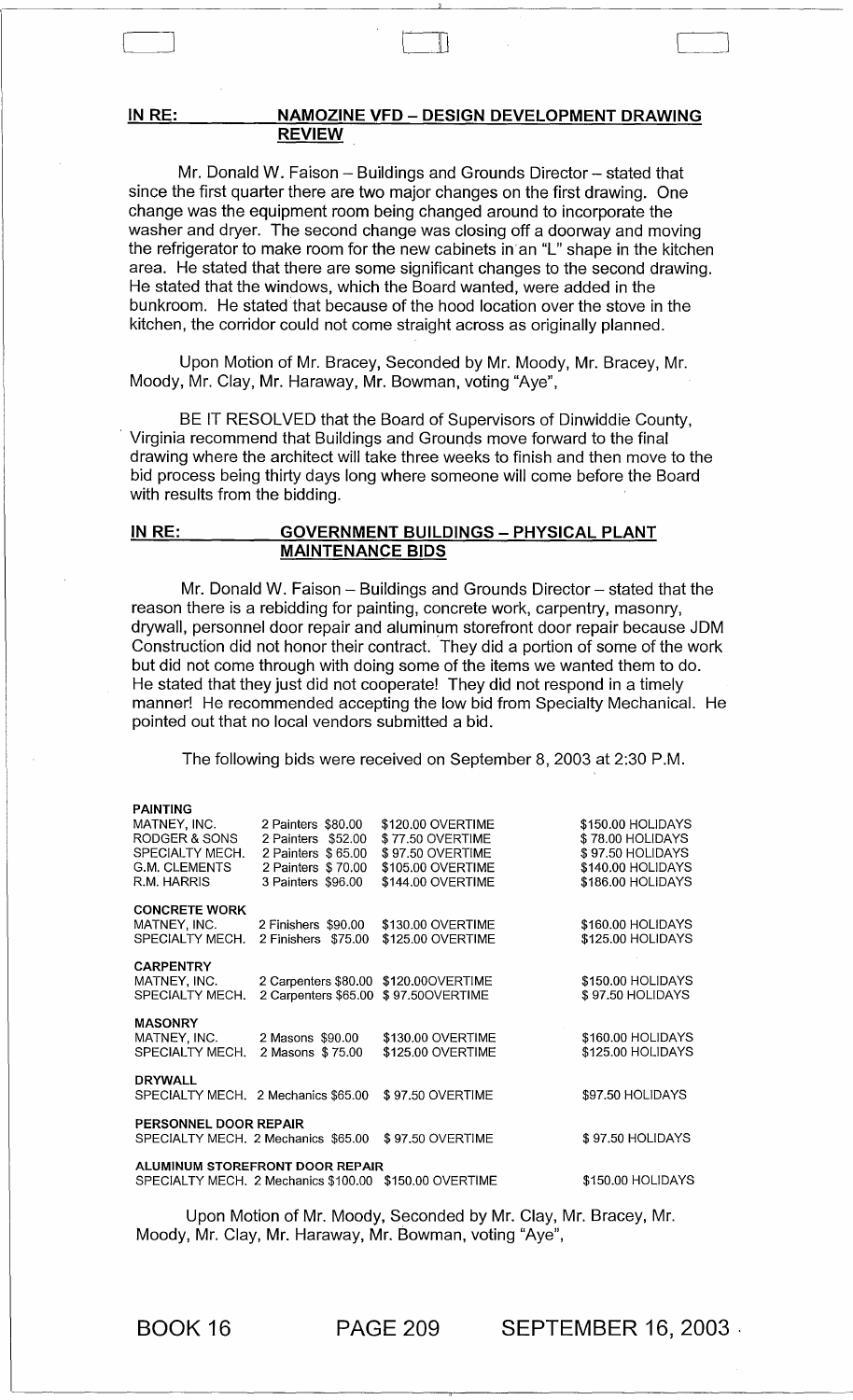#### IN RE: NAMOZINE VFD - DESIGN DEVELOPMENT DRAWING REVIEW

 $\frac{1}{2}$  or  $\frac{1}{2}$  or  $\frac{1}{2}$  or  $\frac{1}{2}$ 

Mr. Donald W. Faison - Buildings and Grounds Director - stated that since the first quarter there are two major changes on the first drawing. One change was the equipment room being changed around to incorporate the washer and dryer. The second change was closing off a doorway and moving the refrigerator to make room for the new cabinets in'an "L" shape in the kitchen area. He stated that there are some significant changes to the second drawing. He stated that the windows, which the Board wanted, were added in the bunkroom. He stated that because of the hood location over the stove in the kitchen, the corridor could not come straight across as originally planned.

Upon Motion of Mr. Bracey, Seconded by Mr. Moody, Mr. Bracey, Mr. Moody, Mr. Clay, Mr. Haraway, Mr. Bowman, voting "Aye",

BE IT RESOLVED that the Board of Supervisors of Dinwiddie County, Virginia recommend that Buildings and Grounds move forward to the final drawing where the architect will take three weeks to finish and then move to the bid process being thirty days long where someone will come before the Board with results from the bidding.

## IN RE: GOVERNMENT BUILDINGS - PHYSICAL PLANT MAINTENANCE BIDS

Mr. Donald W. Faison  $-$  Buildings and Grounds Director  $-$  stated that the reason there is a rebidding for painting, concrete work, carpentry, masonry, drywall, personnel door repair and aluminum storefront door repair because JDM Construction did not honor their contract. They did a portion of some of the work but did not come through with doing some of the items we wanted them to do. He stated that they just did not cooperate! They did not respond in a timely manner! He recommended accepting the low bid from Specialty Mechanical. He pointed out that no local vendors submitted a bid.

The following bids were received on September 8,2003 at 2:30 P.M.

| <b>PAINTING</b>                                                                         |                                                                                                            |                                                                                                     |                                                                                                     |
|-----------------------------------------------------------------------------------------|------------------------------------------------------------------------------------------------------------|-----------------------------------------------------------------------------------------------------|-----------------------------------------------------------------------------------------------------|
| MATNEY, INC.<br>RODGER & SONS<br>SPECIALTY MECH.<br><b>G.M. CLEMENTS</b><br>R.M. HARRIS | 2 Painters \$80.00<br>2 Painters \$52.00<br>2 Painters \$65.00<br>2 Painters \$70.00<br>3 Painters \$96.00 | \$120,00 OVERTIME<br>\$77.50 OVERTIME<br>\$97.50 OVERTIME<br>\$105.00 OVERTIME<br>\$144.00 OVERTIME | \$150.00 HOLIDAYS<br>\$78.00 HOLIDAYS<br>\$97.50 HOLIDAYS<br>\$140.00 HOLIDAYS<br>\$186.00 HOLIDAYS |
| <b>CONCRETE WORK</b><br>MATNEY, INC.<br>SPECIALTY MECH.                                 | 2 Finishers \$90.00<br>2 Finishers \$75.00                                                                 | \$130.00 OVERTIME<br>\$125.00 OVERTIME                                                              | \$160.00 HOLIDAYS<br>\$125.00 HOLIDAYS                                                              |
| <b>CARPENTRY</b><br>MATNEY, INC.<br>SPECIALTY MECH.                                     | 2 Carpenters \$80.00 \$120.00OVERTIME<br>2 Carpenters \$65.00                                              | \$97.500VERTIME                                                                                     | \$150.00 HOLIDAYS<br>\$97.50 HOLIDAYS                                                               |
| <b>MASONRY</b><br>MATNEY, INC.<br>SPECIALTY MECH.                                       | 2 Masons \$90.00<br>2 Masons \$75.00                                                                       | \$130.00 OVERTIME<br>\$125.00 OVERTIME                                                              | \$160.00 HOLIDAYS<br>\$125.00 HOLIDAYS                                                              |
| <b>DRYWALL</b><br>SPECIALTY MECH. 2 Mechanics \$65.00                                   |                                                                                                            | \$97.50 OVERTIME                                                                                    | \$97.50 HOLIDAYS                                                                                    |
| PERSONNEL DOOR REPAIR<br>SPECIALTY MECH. 2 Mechanics \$65.00                            |                                                                                                            | \$97.50 OVERTIME                                                                                    | \$97.50 HOLIDAYS                                                                                    |
|                                                                                         | <b>ALUMINUM STOREFRONT DOOR REPAIR</b><br>SPECIALTY MECH, 2 Mechanics \$100.00 \$150.00 OVERTIME           |                                                                                                     | \$150.00 HOLIDAYS                                                                                   |
|                                                                                         |                                                                                                            |                                                                                                     |                                                                                                     |

Upon Motion of Mr. Moody, Seconded by Mr. Clay, Mr. Bracey, Mr. Moody, Mr. Clay, Mr. Haraway, Mr. Bowman, voting "Aye",

BOOK 16 PAGE 209 SEPTEMBER 16, 2003 .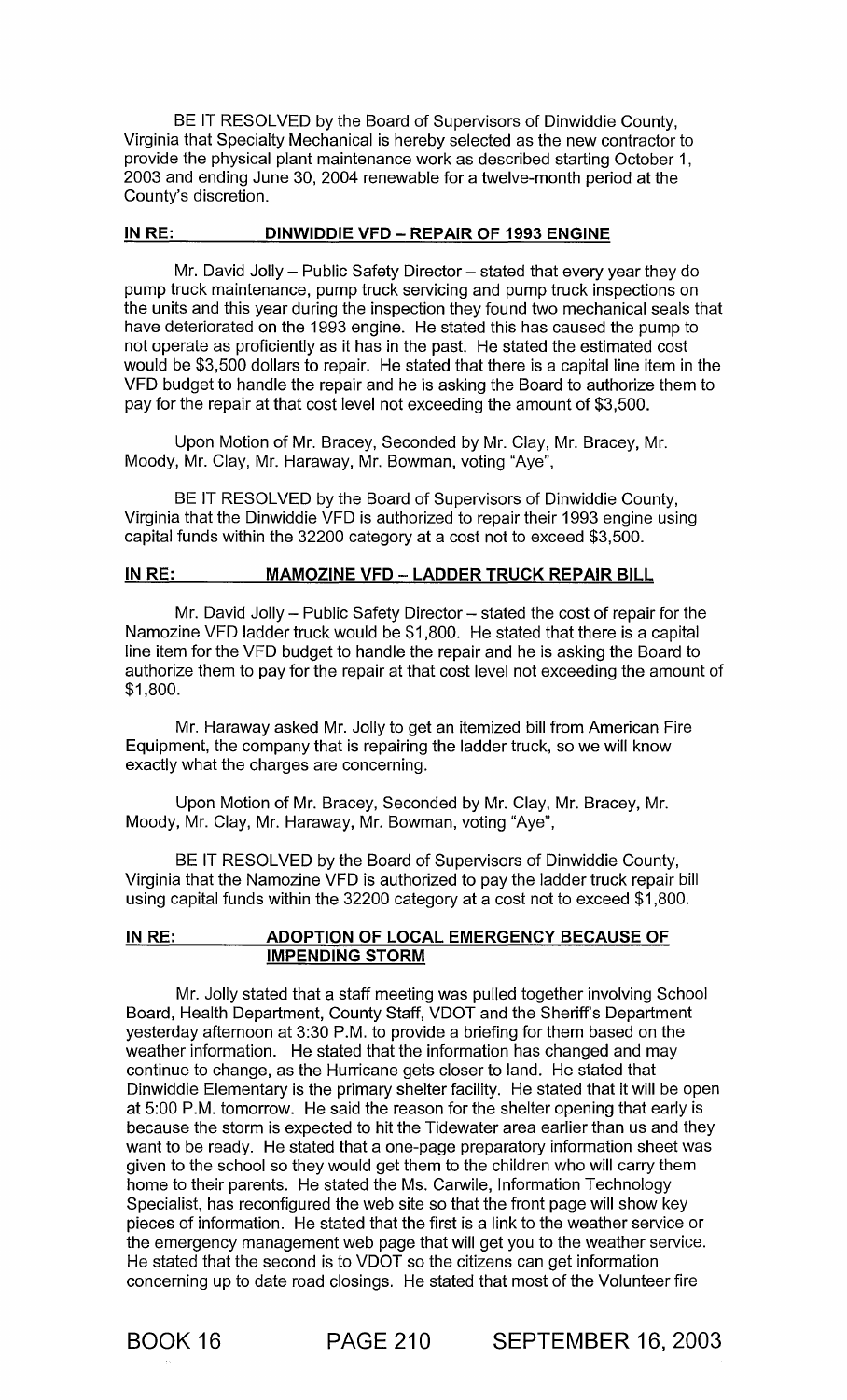BE IT RESOLVED by the Board of Supervisors of Dinwiddie County, Virginia that Specialty Mechanical is hereby selected as the new contractor to provide the physical plant maintenance work as described starting October 1 , 2003 and ending June 30, 2004 renewable for a twelve-month period at the County's discretion.

#### IN RE: DINWIDDIE VFD - REPAIR OF 1993 ENGINE

Mr. David Jolly - Public Safety Director - stated that every year they do pump truck maintenance, pump truck servicing and pump truck inspections on the units and this year during the inspection they found two mechanical seals that have deteriorated on the 1993 engine. He stated this has caused the pump to not operate as proficiently as it has in the past. He stated the estimated cost would be \$3,500 dollars to repair. He stated that there is a capital line item in the VFD budget to handle the repair and he is asking the Board to authorize them to pay for the repair at that cost level not exceeding the amount of \$3,500.

Upon Motion of Mr. Bracey, Seconded by Mr. Clay, Mr. Bracey, Mr. Moody, Mr. Clay, Mr. Haraway, Mr. Bowman, voting "Aye",

BE IT RESOLVED by the Board of Supervisors of Dinwiddie County, Virginia that the Dinwiddie VFD is authorized to repair their 1993 engine using capital funds within the 32200 category at a cost not to exceed \$3,500.

#### IN RE: MAMOZINE VFD - LADDER TRUCK REPAIR BILL

Mr. David Jolly  $-$  Public Safety Director  $-$  stated the cost of repair for the Namozine VFD ladder truck would be \$1,800. He stated that there is a capital line item for the VFD budget to handle the repair and he is asking the Board to authorize them to pay for the repair at that cost level not exceeding the amount of \$1,800.

Mr. Haraway asked Mr. Jolly to get an itemized bill from American Fire Equipment, the company that is repairing the ladder truck, so we will know exactly what the charges are concerning.

Upon Motion of Mr. Bracey, Seconded by Mr. Clay, Mr. Bracey, Mr. Moody, Mr. Clay, Mr. Haraway, Mr. Bowman, voting "Aye",

BE IT RESOLVED by the Board of Supervisors of Dinwiddie County, Virginia that the Namozine VFD is authorized to pay the ladder truck repair bill using capital funds within the 32200 category at a cost not to exceed \$1,800.

## IN RE: ADOPTION OF LOCAL EMERGENCY BECAUSE OF IMPENDING STORM

Mr. Jolly stated that a staff meeting was pulled together involving School Board, Health Department, County Staff, VDOT and the Sheriff's Department yesterday afternoon at 3:30 P.M. to provide a briefing for them based on the weather information. He stated that the information has changed and may continue to change, as the Hurricane gets closer to land. He stated that Dinwiddie Elementary is the primary shelter facility. He stated that it will be open at 5:00 P.M. tomorrow. He said the reason for the shelter opening that early is because the storm is expected to hit the Tidewater area earlier than us and they want to be ready. He stated that a one-page preparatory information sheet was given to the school so they would get them to the children who will carry them home to their parents. He stated the Ms. Carwile, Information Technology Specialist, has reconfigured the web site so that the front page will show key pieces of information. He stated that the first is a link to the weather service or the emergency management web page that will get you to the weather service. He stated that the second is to VDOT so the citizens can get information concerning up to date road closings. He stated that most of the Volunteer fire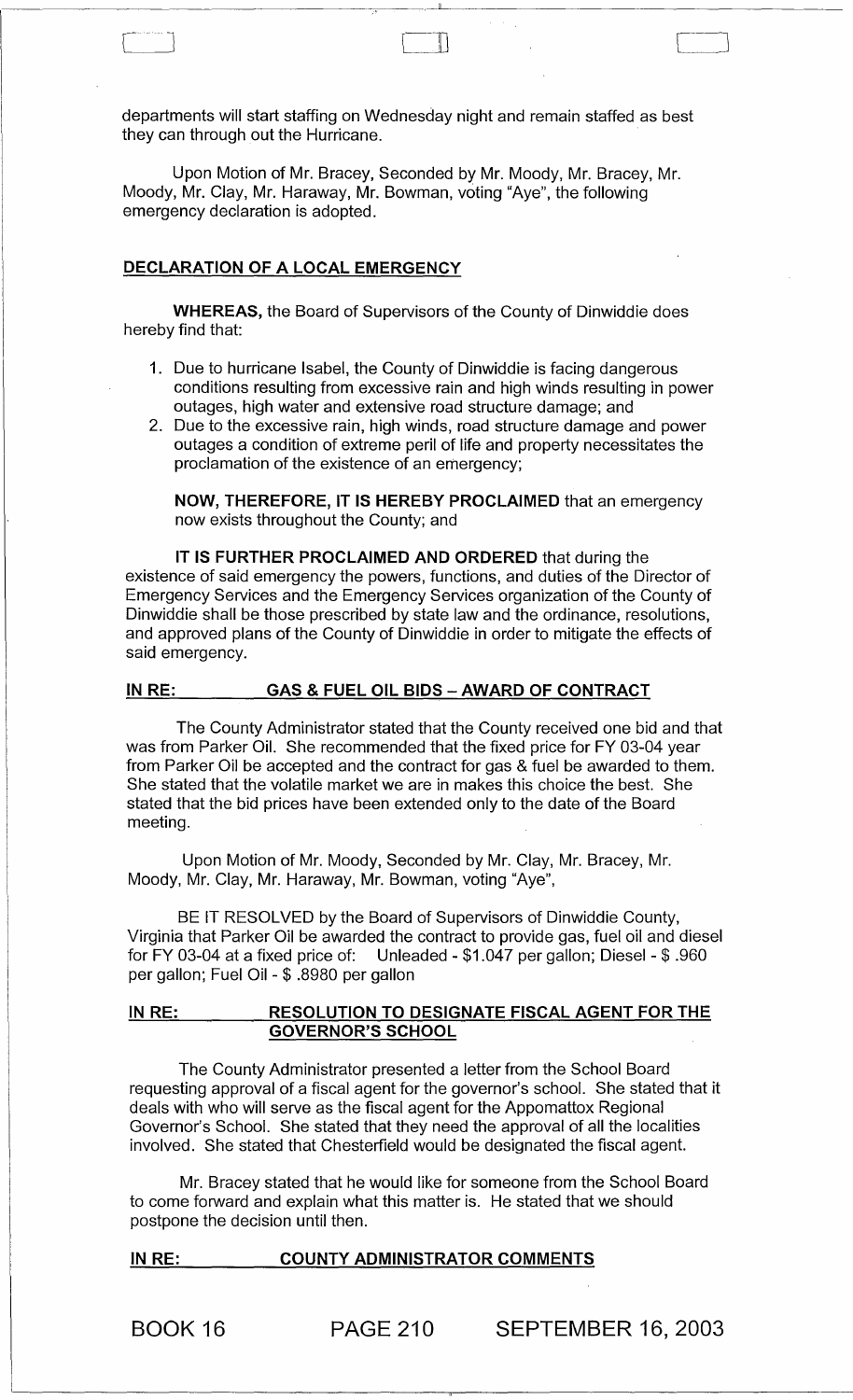departments will start staffing on Wednesday night and remain staffed as best they can through out the Hurricane.

'------------------------------------~--~,-L---------------------------------------

 $\Box$ 

Upon Motion of Mr. Bracey, Seconded by Mr. Moody, Mr. Bracey, Mr. Moody, Mr. Clay, Mr. Haraway, Mr. Bowman, voting "Aye", the following emergency declaration is adopted.

## DECLARATION OF A LOCAL EMERGENCY

WHEREAS, the Board of Supervisors of the County of Dinwiddie does hereby find that:

- 1. Due to hurricane Isabel, the County of Dinwiddie is facing dangerous conditions resulting from excessive rain and high winds resulting in power outages, high water and extensive road structure damage; and
- 2. Due to the excessive rain, high winds, road structure damage and power outages a condition of extreme peril of life and property necessitates the proclamation of the existence of an emergency;

NOW, THEREFORE, IT IS HEREBY PROCLAIMED that an emergency now exists throughout the County; and

IT IS FURTHER PROCLAIMED AND ORDERED that during the existence of said emergency the powers, functions, and duties of the Director of Emergency Services and the Emergency Services organization of the County of Dinwiddie shall be those prescribed by state law and the ordinance, resolutions, and approved plans of the County of Dinwiddie in order to mitigate the effects of said emergency.

#### IN RE: GAS & FUEL OIL BIDS - AWARD OF CONTRACT

The County Administrator stated that the County received one bid and that was from Parker Oil. She recommended that the fixed price for FY 03-04 year from Parker Oil be accepted and the contract for gas & fuel be awarded to them. She stated that the volatile market we are in makes this choice the best. She stated that the bid prices have been extended only to the date of the Board meeting.

Upon Motion of Mr. Moody, Seconded by Mr. Clay, Mr. Bracey, Mr. Moody, Mr. Clay, Mr. Haraway, Mr. Bowman, voting "Aye",

BE IT RESOLVED by the Board of Supervisors of Dinwiddie County, Virginia that Parker Oil be awarded the contract to provide gas, fuel oil and diesel for FY 03-04 at a fixed price of: Unleaded - \$1.047 per gallon; Diesel - \$ .960 per gallon; Fuel Oil - \$ .8980 per gallon

## IN RE: RESOLUTION TO DESIGNATE FISCAL AGENT FOR THE GOVERNOR'S SCHOOL

The County Administrator presented a letter from the School Board requesting approval of a fiscal agent for the governor's school. She stated that it deals with who will serve as the fiscal agent for the Appomattox Regional Governor's School. She stated that they need the approval of all the localities involved. She stated that Chesterfield would be designated the fiscal agent.

Mr. Bracey stated that he would like for someone from the School Board to come forward and explain what this matter is. He stated that we should postpone the decision until then.

# IN RE: COUNTY ADMINISTRATOR COMMENTS

BOOK 16 PAGE 210 SEPTEMBER 16, 2003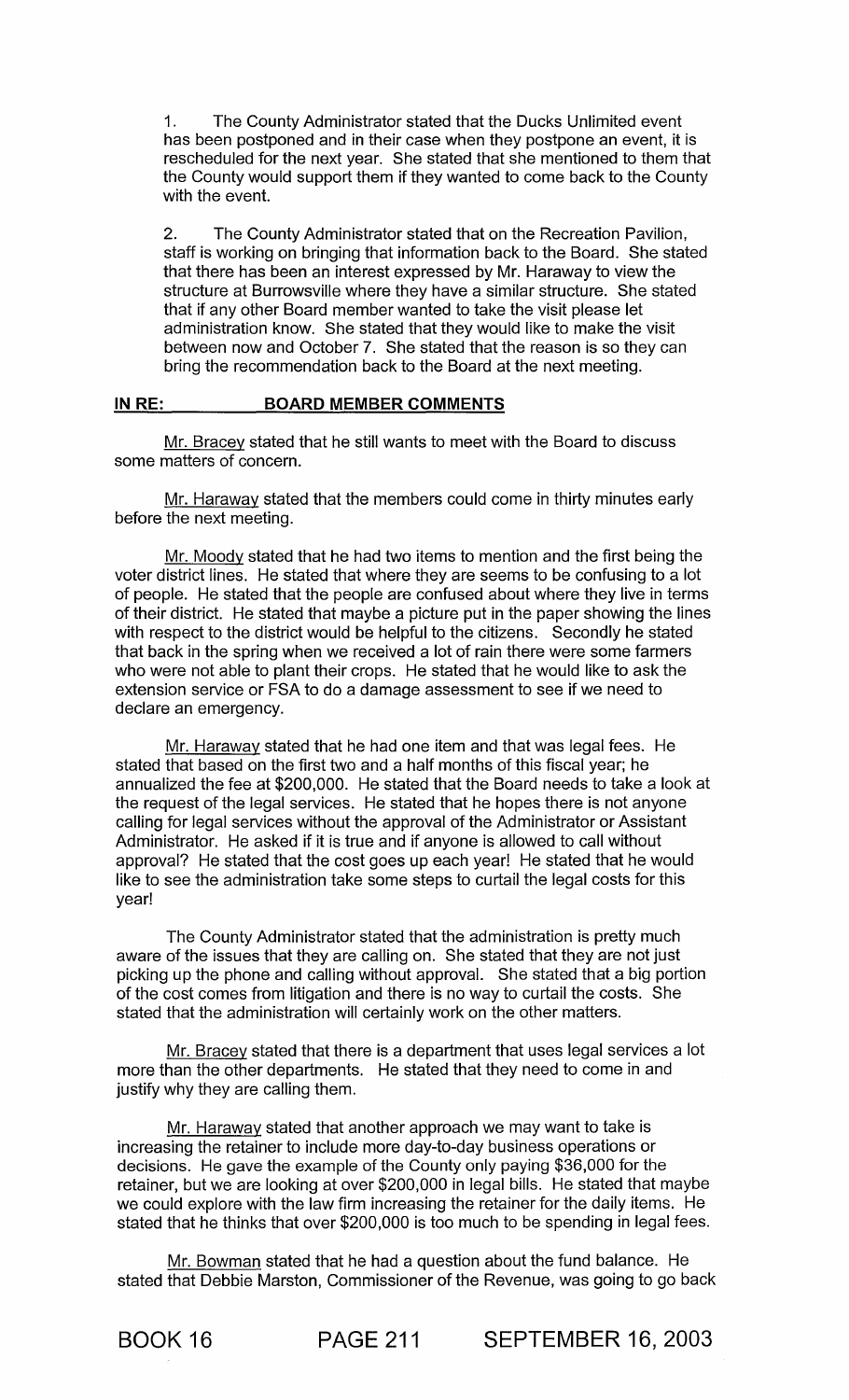1. The County Administrator stated that the Ducks Unlimited event has been postponed and in their case when they postpone an event, it is rescheduled for the next year. She stated that she mentioned to them that the County would support them if they wanted to come back to the County with the event.

2. The County Administrator stated that on the Recreation Pavilion, staff is working on bringing that information back to the Board. She stated that there has been an interest expressed by Mr. Haraway to view the structure at Burrowsville where they have a similar structure. She stated that if any other Board member wanted to take the visit please let administration know. She stated that they would like to make the visit between now and October 7. She stated that the reason is so they can bring the recommendation back to the Board at the next meeting.

#### IN RE: BOARD MEMBER COMMENTS

Mr. Bracey stated that he still wants to meet with the Board to discuss some matters of concern.

Mr. Haraway stated that the members could come in thirty minutes early before the next meeting.

Mr. Moody stated that he had two items to mention and the first being the voter district lines. He stated that where they are seems to be confusing to a lot of people. He stated that the people are confused about where they live in terms of their district. He stated that maybe a picture put in the paper showing the lines with respect to the district would be helpful to the citizens. Secondly he stated that back in the spring when we received a lot of rain there were some farmers who were not able to plant their crops. He stated that he would like to ask the extension service or FSA to do a damage assessment to see if we need to declare an emergency.

Mr. Haraway stated that he had one item and that was legal fees. He stated that based on the first two and a half months of this fiscal year; he annualized the fee at \$200,000. He stated that the Board needs to take a look at the request of the legal services. He stated that he hopes there is not anyone calling for legal services without the approval of the Administrator or Assistant Administrator. He asked if it is true and if anyone is allowed to call without approval? He stated that the cost goes up each year! He stated that he would like to see the administration take some steps to curtail the legal costs for this year!

The County Administrator stated that the administration is pretty much aware of the issues that they are calling on. She stated that they are not just picking up the phone and calling without approval. She stated that a big portion of the cost comes from litigation and there is no way to curtail the costs. She stated that the administration will certainly work on the other matters.

Mr. Bracey stated that there is a department that uses legal services a lot more than the other departments. He stated that they need to come in and justify why they are calling them.

Mr. Haraway stated that another approach we may want to take is increasing the retainer to include more day-to-day business operations or decisions. He gave the example of the County only paying \$36,000 for the retainer, but we are looking at over \$200,000 in legal bills. He stated that maybe we could explore with the law firm increasing the retainer for the daily items. He stated that he thinks that over \$200,000 is too much to be spending in legal fees.

Mr. Bowman stated that he had a question about the fund balance. He stated that Debbie Marston, Commissioner of the Revenue, was going to go back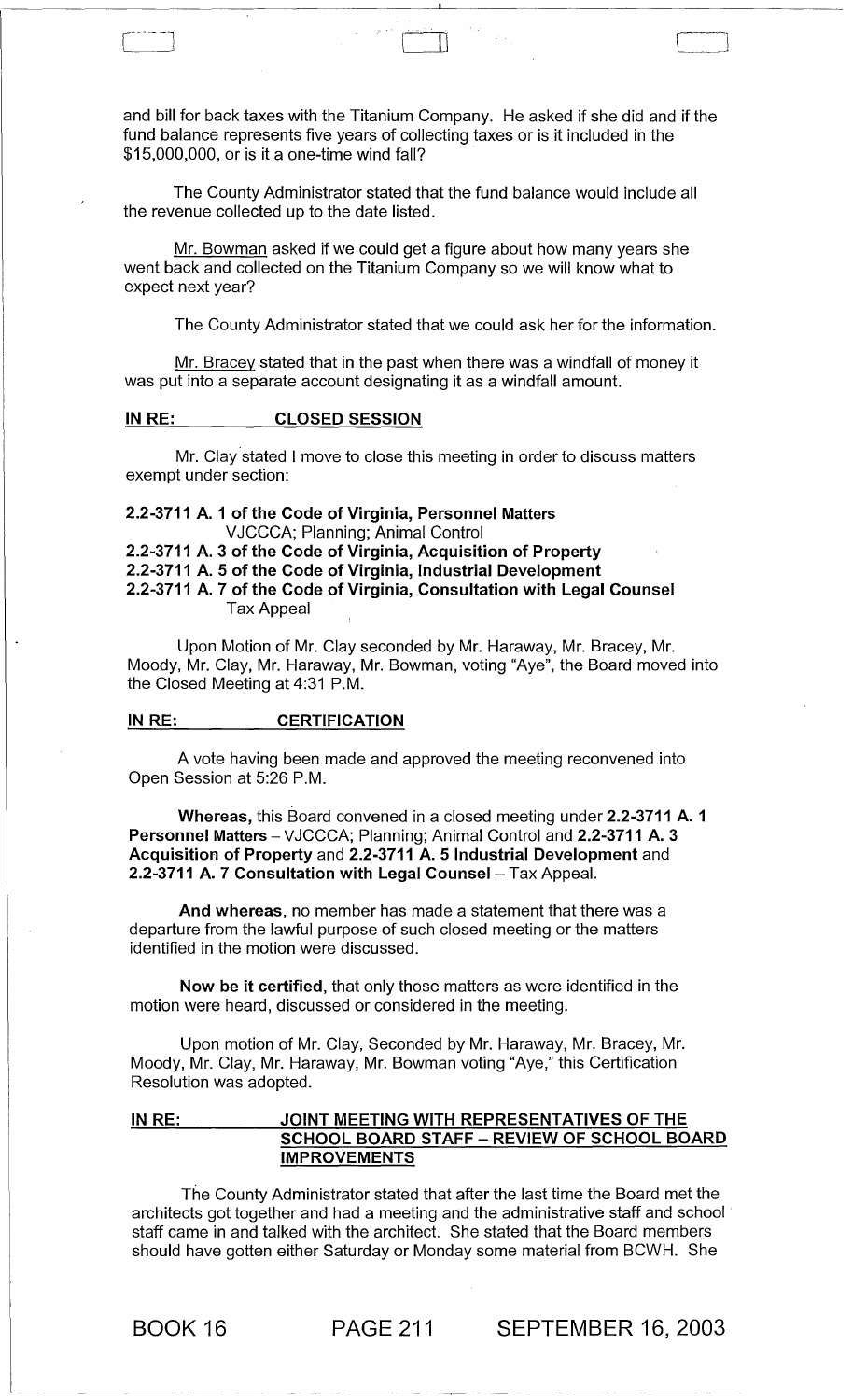and bill for back taxes with the Titanium Company. He asked if she did and if the fund balance represents five years of collecting taxes or is it included in the \$15,000,000, or is it a one-time wind fall?

The County Administrator stated that the fund balance would include all the revenue collected up to the date listed.

Mr. Bowman asked if we could get a figure about how many years she went back and collected on the Titanium Company so we will know what to expect next year?

The County Administrator stated that we could ask her for the information.

Mr. Bracey stated that in the past when there was a windfall of money it was put into a separate account designating it as a windfall amount.

#### IN RE: CLOSED SESSION

Mr. Clay stated I move to close this meeting in order to discuss matters exempt under section:

## 2.2-3711 A. 1 of the Code of Virginia, Personnel Matters VJCCCA; Planning; Animal Control

2.2-3711 A. 3 of the Code of Virginia, Acquisition of Property 2.2-3711 A. 5 of the Code of Virginia, Industrial Development 2.2-3711 A. 7 of the Code of Virginia, Consultation with Legal Counsel Tax Appeal

Upon Motion of Mr. Clay seconded by Mr. Haraway, Mr. Bracey, Mr. Moody, Mr. Clay, Mr. Haraway, Mr. Bowman, voting "Aye", the Board moved into the Closed Meeting at 4:31 P.M.

#### IN RE: CERTIFICATION

A vote having been made and approved the meeting reconvened into Open Session at 5:26 P.M.

Whereas, this Board convened in a closed meeting under 2.2-3711 A. 1 Personnel Matters - VJCCCA; Planning; Animal Control and 2.2-3711 A. 3 Acquisition of Property and 2.2-3711 A. 5 Industrial Development and 2.2-3711 A. 7 Consultation with Legal Counsel- Tax Appeal.

And whereas, no member has made a statement that there was a departure from the lawful purpose of such closed meeting or the matters identified in the motion were discussed.

Now be it certified, that only those matters as were identified in the motion were heard, discussed or considered in the meeting.

Upon motion of Mr. Clay, Seconded by Mr. Haraway, Mr. Bracey, Mr. Moody, Mr. Clay, Mr. Haraway, Mr. Bowman voting "Aye," this Certification Resolution was adopted.

## IN RE: JOINT MEETING WITH REPRESENTATIVES OF THE SCHOOL BOARD STAFF - REVIEW OF SCHOOL BOARD IMPROVEMENTS

The County Administrator stated that after the last time the Board met the architects got together and had a meeting and the administrative staff and school staff came in and talked with the architect. She stated that the Board members should have gotten either Saturday or Monday some material from BCWH. She

BOOK 16 PAGE 211 SEPTEMBER 16, 2003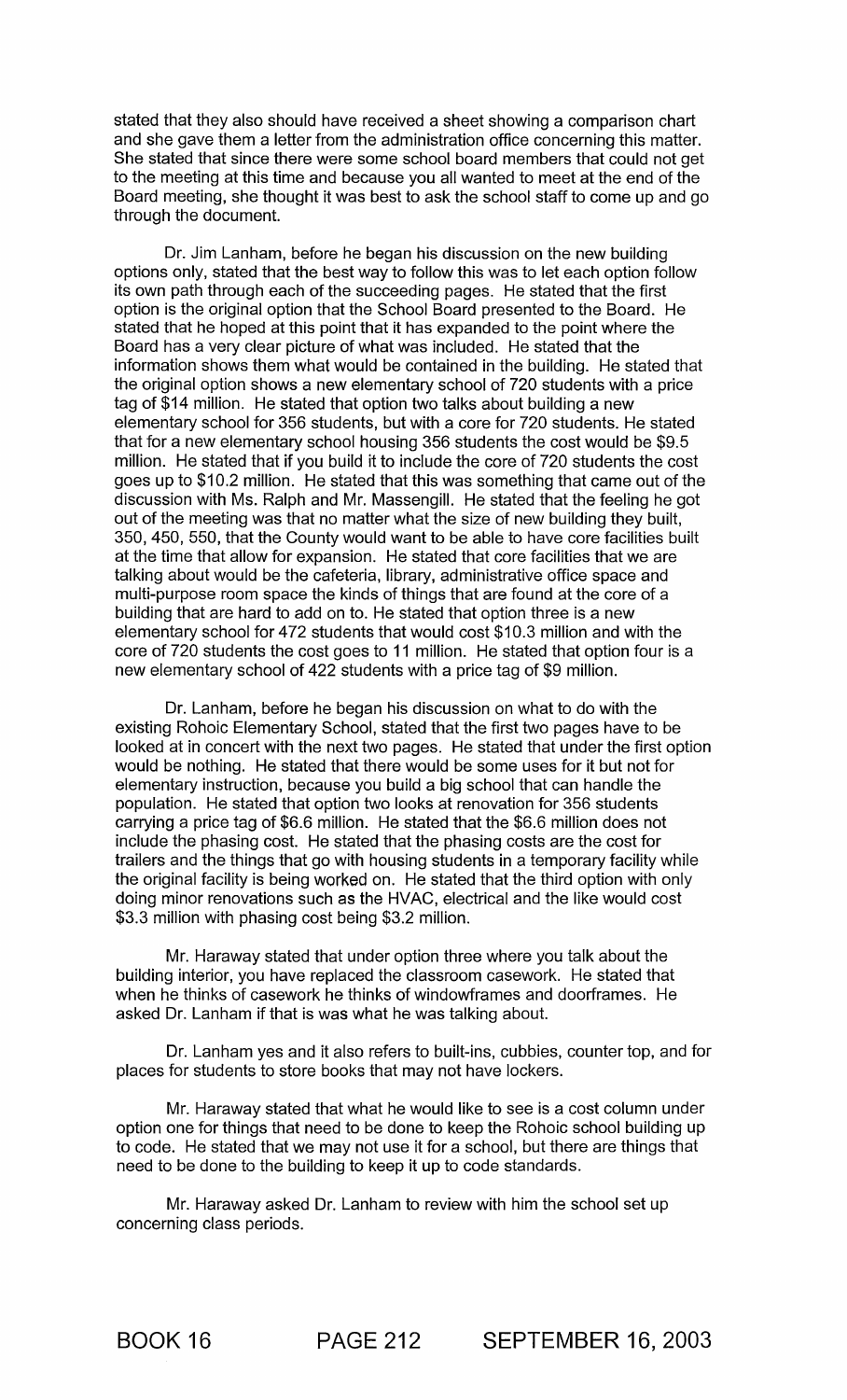stated that they also should have received a sheet showing a comparison chart and she gave them a letter from the administration office concerning this matter. She stated that since there were some school board members that could not get to the meeting at this time and because you all wanted to meet at the end of the Board meeting, she thought it was best to ask the school staff to come up and go through the document.

Dr. Jim Lanham, before he began his discussion on the new building options only, stated that the best way to follow this was to let each option follow its own path through each of the succeeding pages. He stated that the first option is the original option that the School Board presented to the Board. He stated that he hoped at this point that it has expanded to the point where the Board has a very clear picture of what was included. He stated that the information shows them what would be contained in the building. He stated that the original option shows a new elementary school of 720 students with a price tag of \$14 million. He stated that option two talks about building a new elementary school for 356 students, but with a core for 720 students. He stated that for a new elementary school housing 356 students the cost would be \$9.5 million. He stated that if you build it to include the core of 720 students the cost goes up to \$10.2 million. He stated that this was something that came out of the discussion with Ms. Ralph and Mr. Massengill. He stated that the feeling he got out of the meeting was that no matter what the size of new building they built, 350,450,550, that the County would want to be able to have core facilities built at the time that allow for expansion. He stated that core facilities that we are talking about would be the cafeteria, library, administrative office space and multi-purpose room space the kinds of things that are found at the core of a building that are hard to add on to. He stated that option three is a new elementary school for 472 students that would cost \$10.3 million and with the core of 720 students the cost goes to 11 million. He stated that option four is a new elementary school of 422 students with a price tag of \$9 million.

Dr. Lanham, before he began his discussion on what to do with the existing Rohoic Elementary School, stated that the first two pages have to be looked at in concert with the next two pages. He stated that under the first option would be nothing. He stated that there would be some uses for it but not for elementary instruction, because you build a big school that can handle the population. He stated that option two looks at renovation for 356 students carrying a price tag of \$6.6 million. He stated that the \$6.6 million does not include the phasing cost. He stated that the phasing costs are the cost for trailers and the things that go with housing students in a temporary facility while the original facility is being worked on. He stated that the third option with only doing minor renovations such as the HVAC, electrical and the like would cost \$3.3 million with phasing cost being \$3.2 million.

Mr. Haraway stated that under option three where you talk about the building interior, you have replaced the classroom casework. He stated that when he thinks of casework he thinks of windowframes and doorframes. He asked Dr. Lanham if that is was what he was talking about.

Dr. Lanham yes and it also refers to built-ins, cubbies, counter top, and for places for students to store books that may not have lockers.

Mr. Haraway stated that what he would like to see is a cost column under option one for things that need to be done to keep the Rohoic school building up to code. He stated that we may not use it for a school, but there are things that need to be done to the building to keep it up to code standards.

Mr. Haraway asked Dr. Lanham to review with him the school set up concerning class periods.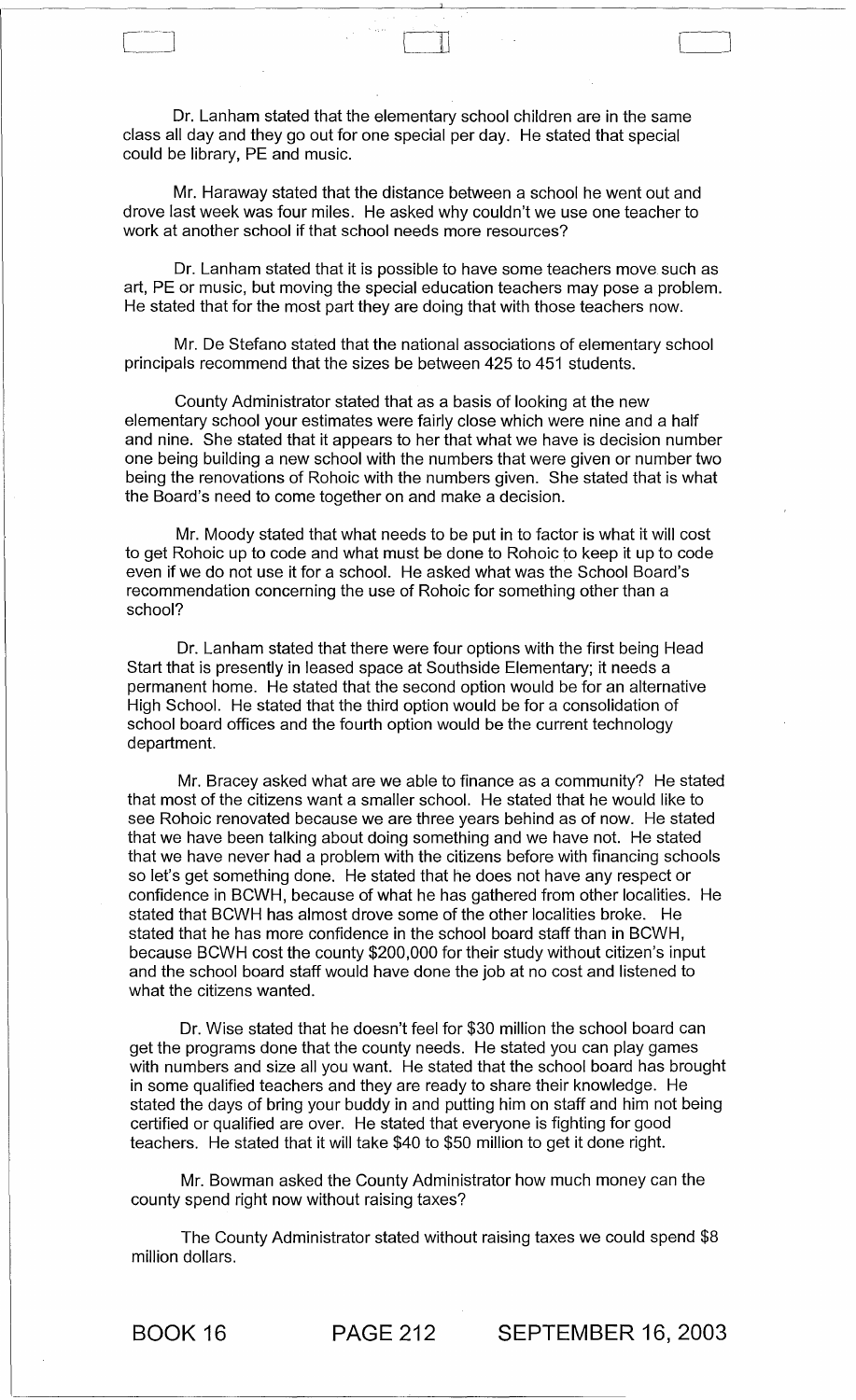Dr. Lanham stated that the elementary school children are in the same class all day and they go out for one special per day. He stated that special could be library, PE and music.

 $\rfloor$ 

Mr. Haraway stated that the distance between a school he went out and drove last week was four miles. He asked why couldn't we use one teacher to work at another school if that school needs more resources?

Dr. Lanham stated that it is possible to have some teachers move such as art, PE or music, but moving the special education teachers may pose a problem. He stated that for the most part they are doing that with those teachers now.

Mr. De Stefano stated that the national associations of elementary school principals recommend that the sizes be between 425 to 451 students.

County Administrator stated that as a basis of looking at the new elementary school your estimates were fairly close which were nine and a half and nine. She stated that it appears to her that what we have is decision number one being building a new school with the numbers that were given or number two being the renovations of Rohoic with the numbers given. She stated that is what the Board's need to come together on and make a decision.

Mr. Moody stated that what needs to be put in to factor is what it will cost to get Rohoic up to code and what must be done to Rohoic to keep it up to code even if we do not use it for a school. He asked what was the School Board's recommendation concerning the use of Rohoic for something other than a school?

Dr. Lanham stated that there were four options with the first being Head Start that is presently in leased space at Southside Elementary; it needs a permanent home. He stated that the second option would be for an alternative High School. He stated that the third option would be for a consolidation of school board offices and the fourth option would be the current technology department.

Mr. Bracey asked what are we able to finance as a community? He stated that most of the citizens want a smaller school. He stated that he would like to see Rohoic renovated because we are three years behind as of now. He stated that we have been talking about doing something and we have not. He stated that we have never had a problem with the citizens before with financing schools so let's get something done. He stated that he does not have any respect or confidence in BCWH, because of what he has gathered from other localities. He stated that BCWH has almost drove some of the other localities broke. He stated that he has more confidence in the school board staff than in BCWH, because BCWH cost the county \$200,000 for their study without citizen's input and the school board staff would have done the job at no cost and listened to what the citizens wanted.

Dr. Wise stated that he doesn't feel for \$30 million the school board can get the programs done that the county needs. He stated you can play games with numbers and size all you want. He stated that the school board has brought in some qualified teachers and they are ready to share their knowledge. He stated the days of bring your buddy in and putting him on staff and him not being certified or qualified are over. He stated that everyone is fighting for good teachers. He stated that it will take \$40 to \$50 million to get it done right.

Mr. Bowman asked the County Administrator how much money can the county spend right now without raising taxes?

The County Administrator stated without raising taxes we could spend \$8 million dollars.

BOOK 16 PAGE 212 SEPTEMBER 16, 2003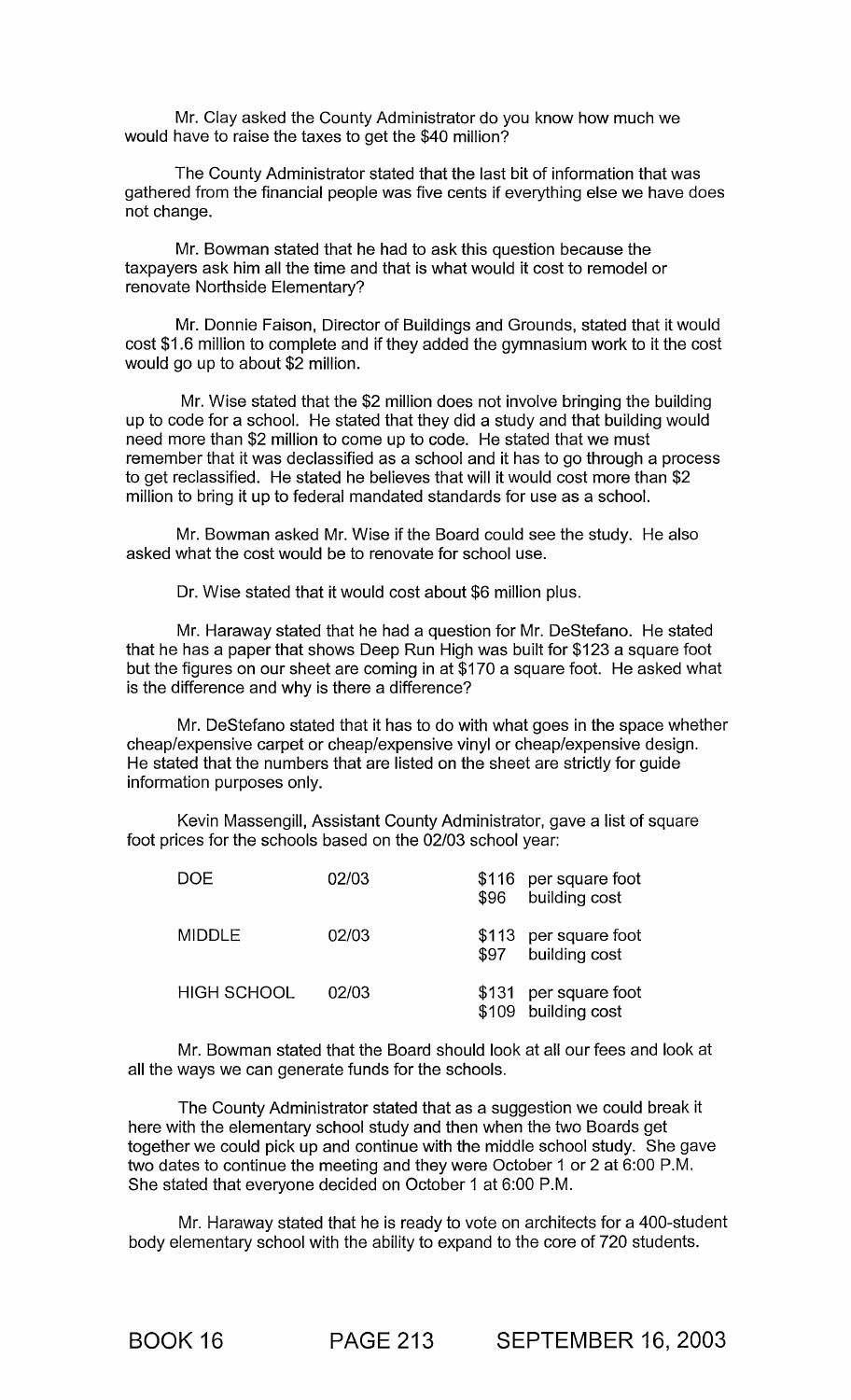Mr. Clay asked the County Administrator do you know how much we would have to raise the taxes to get the \$40 million?

The County Administrator stated that the last bit of information that was gathered from the financial people was five cents if everything else we have does not change.

Mr. Bowman stated that he had to ask this question because the taxpayers ask him all the time and that is what would it cost to remodel or renovate Northside Elementary?

Mr. Donnie Faison, Director of Buildings and Grounds, stated that it would cost \$1.6 million to complete and if they added the gymnasium work to it the cost would go up to about \$2 million.

Mr. Wise stated that the \$2 million does not involve bringing the building up to code for a school. He stated that they did a study and that building would need more than \$2 million to come up to code. He stated that we must remember that it was declassified as a school and it has to go through a process to get reclassified. He stated he believes that will it would cost more than \$2 million to bring it up to federal mandated standards for use as a school.

Mr. Bowman asked Mr. Wise if the Board could see the study. He also asked what the cost would be to renovate for school use.

Dr. Wise stated that it would cost about \$6 million plus.

Mr. Haraway stated that he had a question for Mr. DeStefano. He stated that he has a paper that shows Deep Run High was built for \$123 a square foot but the figures on our sheet are coming in at \$170 a square foot. He asked what is the difference and why is there a difference?

Mr. DeStefano stated that it has to do with what goes in the space whether cheap/expensive carpet or cheap/expensive vinyl or cheap/expensive design. He stated that the numbers that are listed on the sheet are strictly for guide information purposes only.

Kevin Massengill, Assistant County Administrator, gave a list of square foot prices for the schools based on the 02/03 school year:

| DOE                | 02/03 | \$96 | \$116 per square foot<br>building cost       |
|--------------------|-------|------|----------------------------------------------|
| <b>MIDDLE</b>      | 02/03 | \$97 | \$113 per square foot<br>building cost       |
| <b>HIGH SCHOOL</b> | 02/03 |      | \$131 per square foot<br>\$109 building cost |

Mr. Bowman stated that the Board should look at all our fees and look at all the ways we can generate funds for the schools.

The County Administrator stated that as a suggestion we could break it here with the elementary school study and then when the two Boards get together we could pick up and continue with the middle school study. She gave two dates to continue the meeting and they were October 1 or 2 at 6:00 P.M. She stated that everyone decided on October 1 at 6:00 P.M.

Mr. Haraway stated that he is ready to vote on architects for a 400-student body elementary school with the ability to expand to the core of 720 students.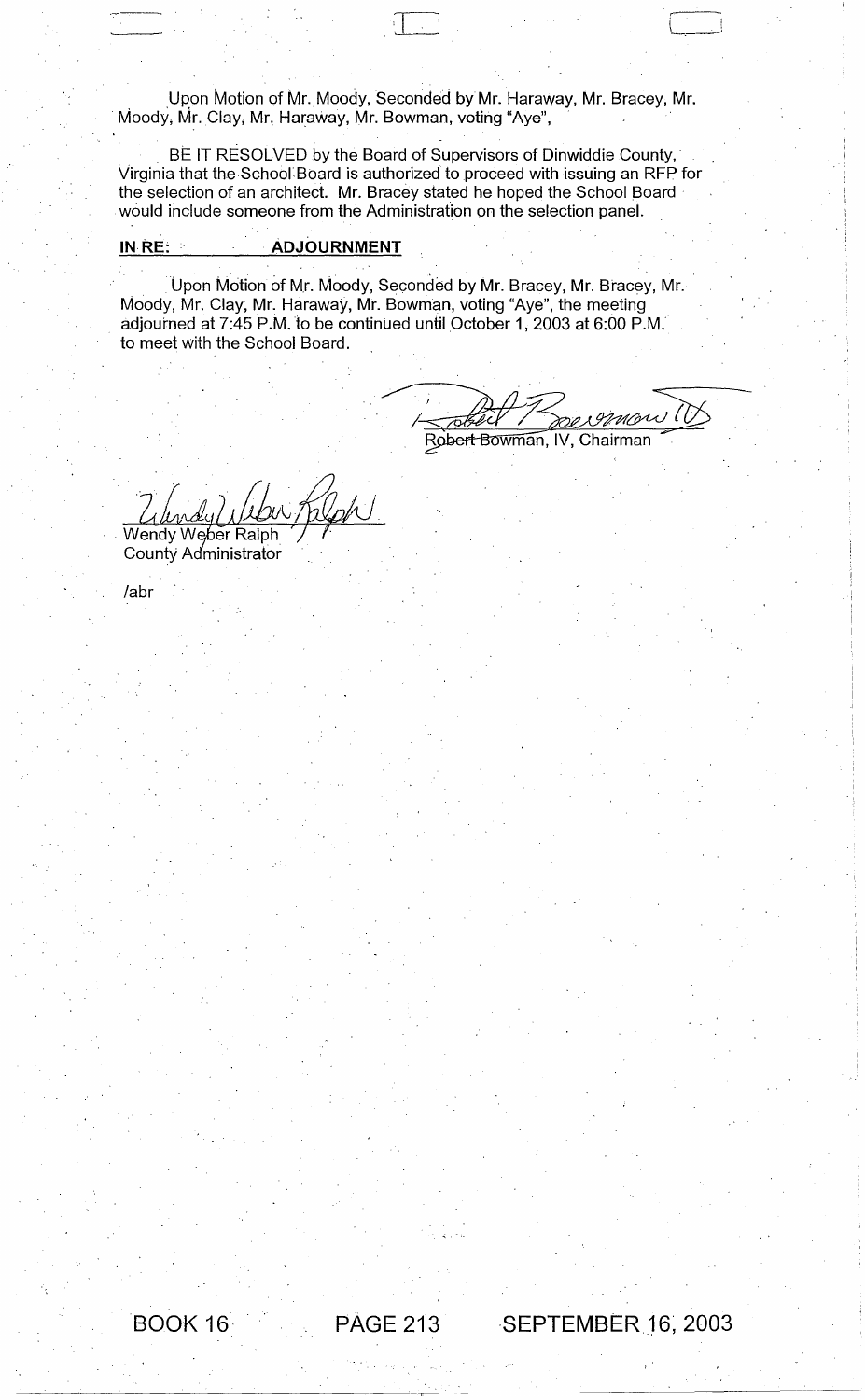Upon Motion of Mr. Moody, Seconded by Mr. Haraway, Mr. Bracey, Mr. Moody, Mr. Clay, Mr. Haraway, Mr. Bowman, voting "Aye",

BE IT RESOLVED by the Board of Supervisors of Dinwiddie County, Virginia that the School: Board is authorized to proceed with issuing an RFP for the selection of an architect. Mr. Bracey stated he hoped the School Board would include someone from the Administration on the selection panel.

## **INRE: ADJOURNMENT**

Upon Motion of Mr. Moody, Seconded by Mr. Bracey, Mr. Bracey, Mr. Moody, Mr. Clay; Mr. Haraway, Mr. Bowman, voting "Aye", the meeting adjourned at 7:45 P.M. to be continued until October 1, 2003 at 6:00 P.M. to meet with the School Board.

RI SIMO Robert Bowman, IV, Chairman

 $\overline{12}$  . Let  $\overline{12}$  be a set  $\overline{12}$ 

 $\gamma_{\mathcal{A}}$  , Wendy Weber Ralph

County Administrator

labr